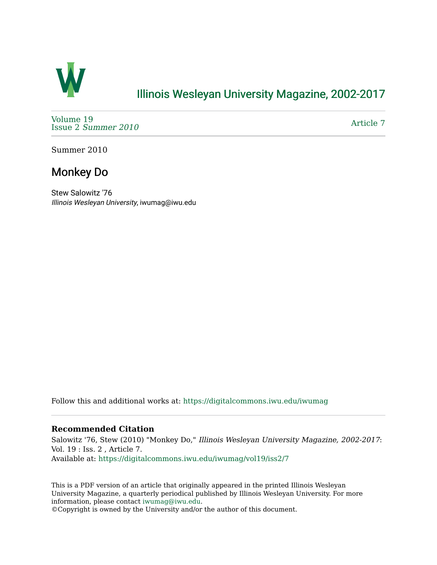

## [Illinois Wesleyan University Magazine, 2002-2017](https://digitalcommons.iwu.edu/iwumag)

[Volume 19](https://digitalcommons.iwu.edu/iwumag/vol19)  Issue 2 [Summer 2010](https://digitalcommons.iwu.edu/iwumag/vol19/iss2) 

[Article 7](https://digitalcommons.iwu.edu/iwumag/vol19/iss2/7) 

Summer 2010

# Monkey Do

Stew Salowitz '76 Illinois Wesleyan University, iwumag@iwu.edu

Follow this and additional works at: [https://digitalcommons.iwu.edu/iwumag](https://digitalcommons.iwu.edu/iwumag?utm_source=digitalcommons.iwu.edu%2Fiwumag%2Fvol19%2Fiss2%2F7&utm_medium=PDF&utm_campaign=PDFCoverPages) 

#### **Recommended Citation**

Salowitz '76, Stew (2010) "Monkey Do," Illinois Wesleyan University Magazine, 2002-2017: Vol. 19 : Iss. 2 , Article 7. Available at: [https://digitalcommons.iwu.edu/iwumag/vol19/iss2/7](https://digitalcommons.iwu.edu/iwumag/vol19/iss2/7?utm_source=digitalcommons.iwu.edu%2Fiwumag%2Fvol19%2Fiss2%2F7&utm_medium=PDF&utm_campaign=PDFCoverPages)

This is a PDF version of an article that originally appeared in the printed Illinois Wesleyan University Magazine, a quarterly periodical published by Illinois Wesleyan University. For more information, please contact [iwumag@iwu.edu](mailto:iwumag@iwu.edu).

©Copyright is owned by the University and/or the author of this document.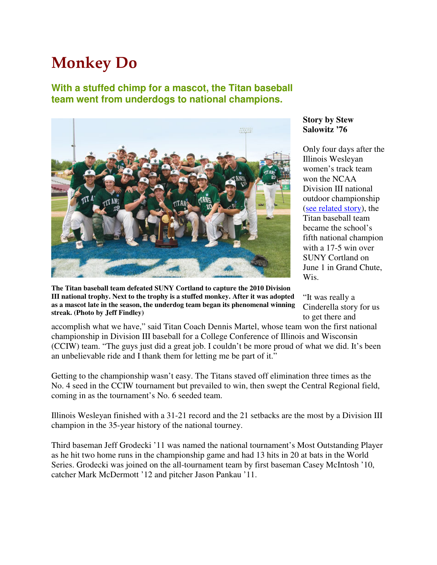# Monkey Do

## **With a stuffed chimp for a mascot, the Titan baseball team went from underdogs to national champions.**



**The Titan baseball team defeated SUNY Cortland to capture the 2010 Division III national trophy. Next to the trophy is a stuffed monkey. After it was adopted as a mascot late in the season, the underdog team began its phenomenal winning streak. (Photo by Jeff Findley)**

### **Story by Stew Salowitz '76**

Only four days after the Illinois Wesleyan women's track team won the NCAA Division III national outdoor championship (see related story), the Titan baseball team became the school's fifth national champion with a 17-5 win over SUNY Cortland on June 1 in Grand Chute, Wis.

"It was really a Cinderella story for us to get there and

accomplish what we have," said Titan Coach Dennis Martel, whose team won the first national championship in Division III baseball for a College Conference of Illinois and Wisconsin (CCIW) team. "The guys just did a great job. I couldn't be more proud of what we did. It's been an unbelievable ride and I thank them for letting me be part of it."

Getting to the championship wasn't easy. The Titans staved off elimination three times as the No. 4 seed in the CCIW tournament but prevailed to win, then swept the Central Regional field, coming in as the tournament's No. 6 seeded team.

Illinois Wesleyan finished with a 31-21 record and the 21 setbacks are the most by a Division III champion in the 35-year history of the national tourney.

Third baseman Jeff Grodecki '11 was named the national tournament's Most Outstanding Player as he hit two home runs in the championship game and had 13 hits in 20 at bats in the World Series. Grodecki was joined on the all-tournament team by first baseman Casey McIntosh '10, catcher Mark McDermott '12 and pitcher Jason Pankau '11.